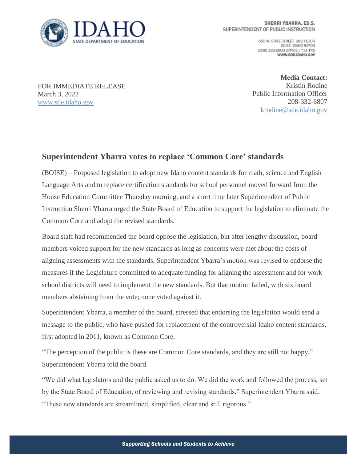

650 W. STATE STREET, 2ND FLOOR BOISE IDAHO 83702 (208) 332-6800 OFFICE / 711 TRS WWW.SDE.IDAHO.GOV

FOR IMMEDIATE RELEASE March 3, 2022 [www.sde.idaho.gov](http://www.sde.idaho.gov/)

**Media Contact:** Kristin Rodine Public Information Officer 208-332-6807 [krodine@sde.idaho.gov](mailto:krodine@sde.idaho.gov)

## **Superintendent Ybarra votes to replace 'Common Core' standards**

(BOISE) – Proposed legislation to adopt new Idaho content standards for math, science and English Language Arts and to replace certification standards for school personnel moved forward from the House Education Committee Thursday morning, and a short time later Superintendent of Public Instruction Sherri Ybarra urged the State Board of Education to support the legislation to eliminate the Common Core and adopt the revised standards.

Board staff had recommended the board oppose the legislation, but after lengthy discussion, board members voiced support for the new standards as long as concerns were met about the costs of aligning assessments with the standards. Superintendent Ybarra's motion was revised to endorse the measures if the Legislature committed to adequate funding for aligning the assessment and for work school districts will need to implement the new standards. But that motion failed, with six board members abstaining from the vote; none voted against it.

Superintendent Ybarra, a member of the board, stressed that endorsing the legislation would send a message to the public, who have pushed for replacement of the controversial Idaho content standards, first adopted in 2011, known as Common Core.

"The perception of the public is these are Common Core standards, and they are still not happy," Superintendent Ybarra told the board.

"We did what legislators and the public asked us to do. We did the work and followed the process, set by the State Board of Education, of reviewing and revising standards," Superintendent Ybarra said. "These new standards are streamlined, simplified, clear and still rigorous."